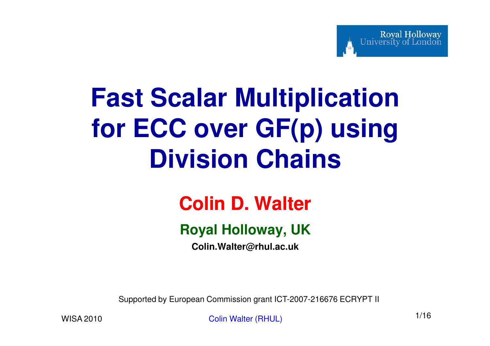# **Fast Scalar Multiplication for ECC over GF(p) using Division Chains**

#### **Colin D. Walter**

#### **Royal Holloway, UK**

**Colin.Walter@rhul.ac.uk**

Supported by European Commission grant ICT-2007-216676 ECRYPT II

Colin Walter (RHUL) 1/16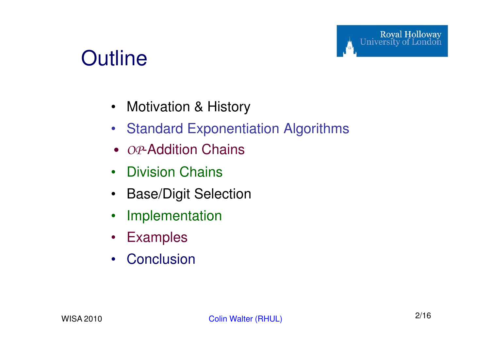#### **Outline**

- Motivation & History
- Standard Exponentiation Algorithms
- *• OP*-Addition Chains
- $\bullet$ Division Chains
- $\bullet$ Base/Digit Selection
- $\bullet$ Implementation
- Examples
- Conclusion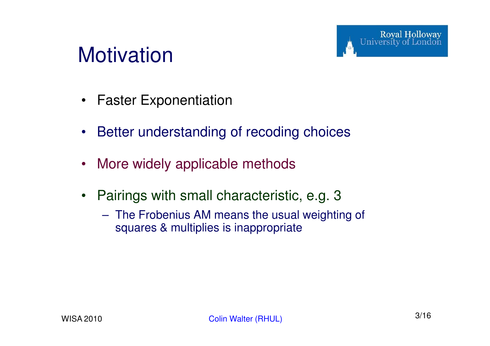#### **Motivation**

- $\bullet$ Faster Exponentiation
- $\bullet$ Better understanding of recoding choices
- $\bullet$ More widely applicable methods
- $\bullet$  Pairings with small characteristic, e.g. 3
	- The Frobenius AM means the usual weighting of squares & multiplies is inappropriate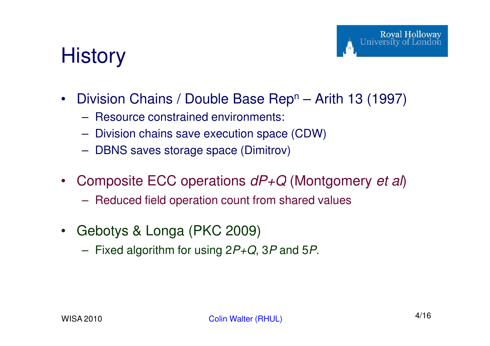### **History**

- $\bullet$ Division Chains / Double Base Rep<sup>n</sup> – Arith 13 (1997)
	- $\mathcal{L}_{\mathcal{A}}$  , and the set of the set of the set of the set of the set of the set of the set of the set of the set of the set of the set of the set of the set of the set of the set of the set of the set of the set of th Resource constrained environments:
	- $\mathcal{L}_{\mathcal{A}}$  , and the set of the set of the set of the set of the set of the set of the set of the set of the set of the set of the set of the set of the set of the set of the set of the set of the set of the set of th Division chains save execution space (CDW)
	- $\mathcal{L}_{\mathcal{A}}$ DBNS saves storage space (Dimitrov)
- $\bullet$ • Composite ECC operations  $dP+Q$  (Montgomery *et al)* 
	- $\mathcal{L}_{\mathcal{A}}$  , and the set of  $\mathcal{L}_{\mathcal{A}}$ Reduced field operation count from shared values
- $\bullet$  Gebotys & Longa (PKC 2009)
	- $\mathcal{L}_{\mathcal{A}}$  , and the set of  $\mathcal{L}_{\mathcal{A}}$ Fixed algorithm for using  $2P+Q$ ,  $3P$  and  $5P$ .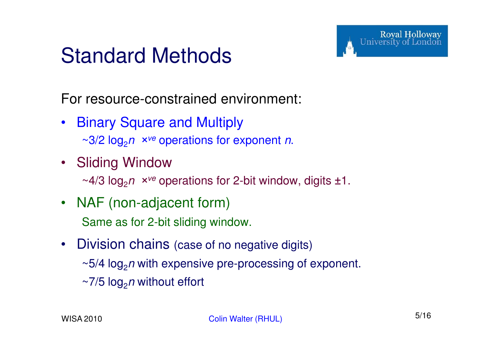#### Standard Methods

For resource-constrained environment:

- Binary Square and Multiply~3/2 log2<sup>n</sup>*×*ve operations for exponent n.
- Sliding Window~4/3 log2<sup>n</sup>*×*ve operations for 2-bit window, digits ±1.
- NAF (non-adjacent form)Same as for 2-bit sliding window.
- $\bullet$  Division chains (case of no negative digits) $\sim$ 5/4 log $_2$ *n* with expensive pre-processing of exponent. ~7/5 log<sub>2</sub>*n* without effort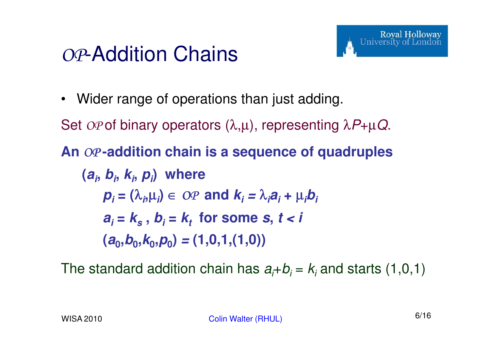#### *OP*-Addition Chains

• Wider range of operations than just adding.

Set *OP* of binary operators (λ,μ), representing  $\lambda P + \mu Q$ .

#### **An** *OP* **-addition chain is a sequence of quadruples**

$$
(ai, bi, ki, pi) where
$$
  
\n
$$
pi = (\lambdai, \mui) \in OP and ki = \lambdaiai + \muibi
$$
  
\n
$$
ai = ks, bi = kt for some s, t < i
$$
  
\n
$$
(a0, b0, k0, p0) = (1, 0, 1, (1, 0))
$$

The standard addition chain has  $a_i\hbox{-} b_i$  =  $k_i$  and starts (1,0,1)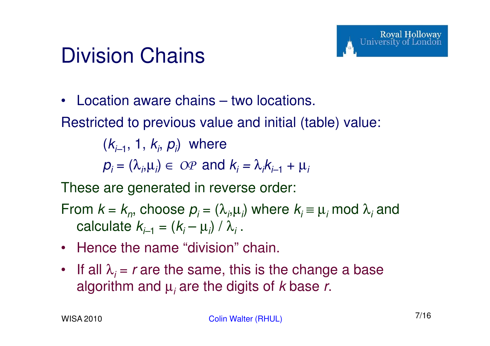#### Division Chains

 $\bullet$ Location aware chains – two locations.

Restricted to previous value and initial (table) value:

 $(k_{i-1}, 1, k_{i}, p_{i})$  where  $p_i = (\lambda_i, \mu_i) \in OP$  and  $k_i = \lambda_i k_{i-1} + \mu_i$ 

These are generated in reverse order:

From  $k = k_n$ , choose  $p_i = (\lambda_i, \mu_i)$  where  $k_i \equiv \mu_i \text{ mod } \lambda_i$  and calculate  $k_{i-1} = (k_{i} - \mu_{i}) / \lambda_{i}$  .

- Hence the name "division" chain.
- If all  $\lambda_i$  = r are the same, this is the change a base algorithm and  $\mu_i$  are the digits of  $k$  base  $r$ .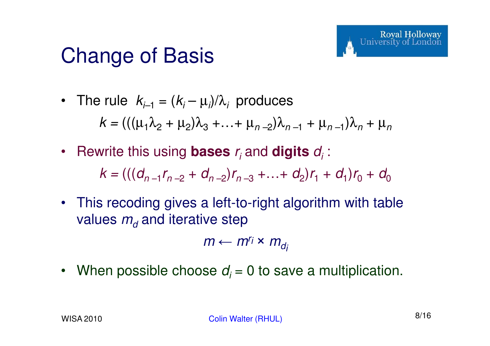#### Change of Basis

- The rule  $k_{i-1} = (k_i \mu_i)/\lambda_i$  produces  $k = (((\mu_1 \lambda_2 + \mu_2)\lambda_3 + ... + \mu_{n-2})\lambda_{n-1} + \mu_{n-1})\lambda_n$  $n + \mu_n$
- Rewrite this using **bases**  $r_i$  and **digits**  $d_i$ :

 $k = (((d_{n-1}r_{n-2} + d_{n-2})r_{n-3} + ... + d_2)r_1 + d_1)r_0 + d_0$ 

• This recoding gives a left-to-right algorithm with table values  $m_{\!d}$  $\mathbf{v}_d$  and iterative step

 $m \leftarrow m^{r_i} \times m_{d_i}$ 

• When possible choose  $d_i$  = 0 to save a multiplication.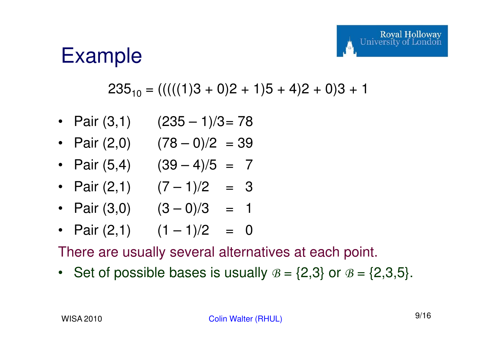#### Example

#### $235_{10} = (((((1)3 + 0)2 + 1)5 + 4)2 + 0)3 + 1)$

- Pair (3,1) (235 1)/3= 78
- Pair (2,0) (78 0)/2 = 39
- Pair (5,4) (39 4)/5 = 7
- Pair (2,1) (7 1)/2 = 3
- Pair (3,0) (3 0)/3 = 1
- Pair (2,1) (1 1)/2 = 0

There are usually several alternatives at each point.

• Set of possible bases is usually  $B = \{2,3\}$  or  $B = \{2,3,5\}$ .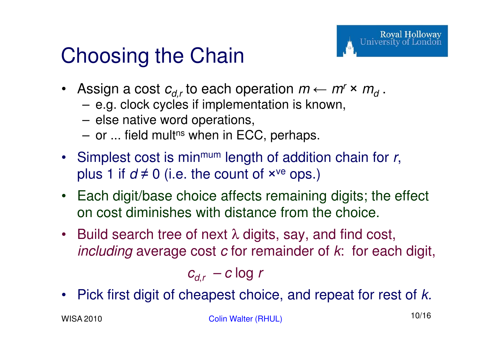### Choosing the Chain

- Assign a cost  $c_{d,r}$  to each operation  $m \leftarrow m^r \times m^r$ .
	- $-$  C O. OOCA CALICS ILIIOENICIII OIIOII IS ANOW e.g. clock cycles if implementation is known,
	- else native word operations,
	- or ... field mult<sup>ns</sup> when in ECC, perhaps.
- Simplest cost is min<sup>mum</sup> length of addition chain for  $r$ , plus 1 if  $d \neq 0$  (i.e. the count of  $\times^{\mathrm{ve}}$  ops.)
- Each digit/base choice affects remaining digits; the effect on cost diminishes with distance from the choice.
- •Build search tree of next  $\lambda$  digits, say, and find cost, *including* average cost  $c$  for remainder of  $k$ : for each digit,

$$
c_{d,r} - c \log r
$$

 $\bullet$ Pick first digit of cheapest choice, and repeat for rest of k.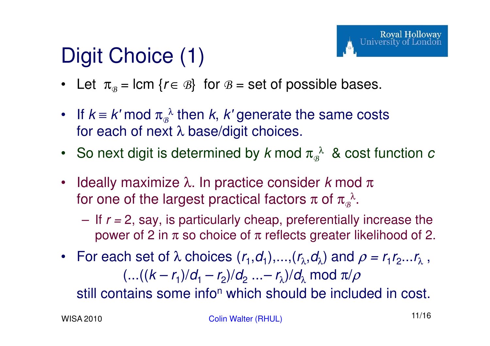# Digit Choice (1)

- Let  $\pi_{\mathcal{B}} = \text{lcm} \{ r \in \mathcal{B} \}$  for  $\mathcal{B} = \text{set of possible bases.}$
- If  $k \equiv k' \mod \pi_{\beta}^{\lambda}$  then  $k, k'$  generate the same costs for each of next  $\lambda$  base/digit choices.
- So next digit is determined by  $k$  mod  $\pi_{\scriptscriptstyle \mathcal{B}}^{\;\;\lambda}$  & cost function  $c$
- Ideally maximize  $\lambda$ . In practice consider  $k$  mod  $\pi$ ldeally maximize λ. In practice consider *k* mod<br>for one of the largest practical factors π of  $\pi_{\scriptscriptstyle \mathcal{B}}^{\;\lambda} .$ 
	- If  $r = 2$ , say, is particularly cheap, preferentially increase the power of 2 in  $\pi$  so choice of  $\pi$  reflects greater likelihood of 2.
- For each set of  $\lambda$  choices  $(r_1,d_1),..., (r_\lambda,d_\lambda)$  and  $\rho = r_1r_2...r_\lambda$ ,  $(...((k-r_1)/d_1-r_2)/d_2...-r_{\lambda})/d_{\lambda} \bmod \pi/\rho$

still contains some info<sup>n</sup> which should be included in cost.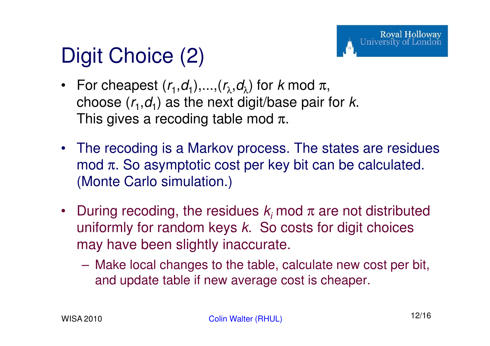## Digit Choice (2)

- For cheapest  $(r_1,d_1),..., (r_\lambda,d_\lambda)$  for k mod  $\pi,$ choose  $(r_1,d_1)$  as the next digit/base pair for k. This gives a recoding table mod  $\pi$ .
- The recoding is a Markov process. The states are residues mod  $\pi$ . So asymptotic cost per key bit can be calculated. (Monte Carlo simulation.)
- During recoding, the residues  $k_i$  mod  $\pi$  are not distributed uniformly for random keys  $k$ . So costs for digit choices may have been slightly inaccurate.
	- Make local changes to the table, calculate new cost per bit, and update table if new average cost is cheaper.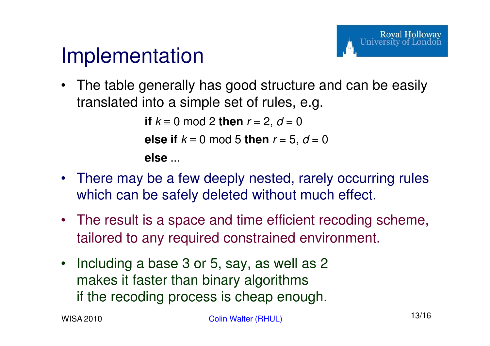#### Implementation

• The table generally has good structure and can be easily translated into a simple set of rules, e.g.

```
if k \equiv 0 \mod 2 then r = 2, d = 0else if k \equiv 0 \mod 5 then r = 5, d = 0else ...
```
- There may be a few deeply nested, rarely occurring rules which can be safely deleted without much effect.
- The result is a space and time efficient recoding scheme, tailored to any required constrained environment.
- Including a base 3 or 5, say, as well as 2 makes it faster than binary algorithms if the recoding process is cheap enough.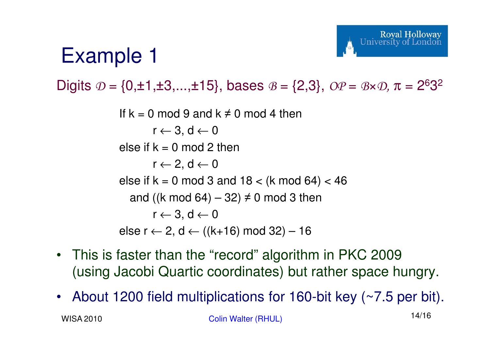#### Example 1

Digits *D* = {0,±1,±3,...,±15}, bases *<sup>B</sup>* = {2,3}, *OP* <sup>=</sup>*B*×*D,* <sup>π</sup> = 2<sup>6</sup>3<sup>2</sup>

If  $k = 0 \mod 9$  and  $k \neq 0 \mod 4$  then r ← 3, d <sup>←</sup> <sup>0</sup> else if  $k = 0$  mod 2 then r ← 2, d <sup>←</sup> <sup>0</sup> else if  $k = 0 \mod 3$  and  $18 < (k \mod 64) < 46$ and ((k mod 64)  $-$  32)  $\neq$  0 mod 3 then  $r \leftarrow 3, d \leftarrow 0$ else r ← 2, d ← ((k+16) mod 32) – 16

- This is faster than the "record" algorithm in PKC 2009(using Jacobi Quartic coordinates) but rather space hungry.
- WISA 2010Colin Walter (RHUL) 14/16 •About 1200 field multiplications for 160-bit key (~7.5 per bit).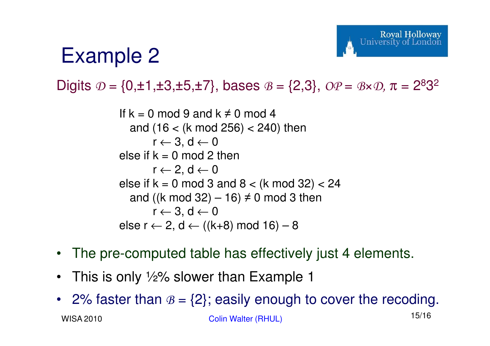### Example 2

Digits *D* = {0,±1,±3,±5,±7}, bases *<sup>B</sup>* = {2,3}, *OP* <sup>=</sup>*B*×*D,* <sup>π</sup> = 2<sup>8</sup>3<sup>2</sup>

```
If k = 0 mod 9 and k \neq 0 mod 4

and (16 < (k mod 256) < 240) thenr ← 3, d ← 0<br>k – 0 mod 2
else if k = 0 mod 2 then
        r ← 2, d ← 0<br>k – 0 mod 3
else if k = 0 \mod 3 and 8 < (k \mod 32) < 24and ((k mod 32) – 16) \neq 0 mod 3 then
        r ← 3, d ← 0<br>← 2  d ← ((k.
else r ← 2, d ← ((k+8) mod 16) – 8
```
- The pre-computed table has effectively just 4 elements.
- •This is only ½% slower than Example 1
- WISA 2010Colin Walter (RHUL) 15/16 •2% faster than  $B = \{2\}$ ; easily enough to cover the recoding.